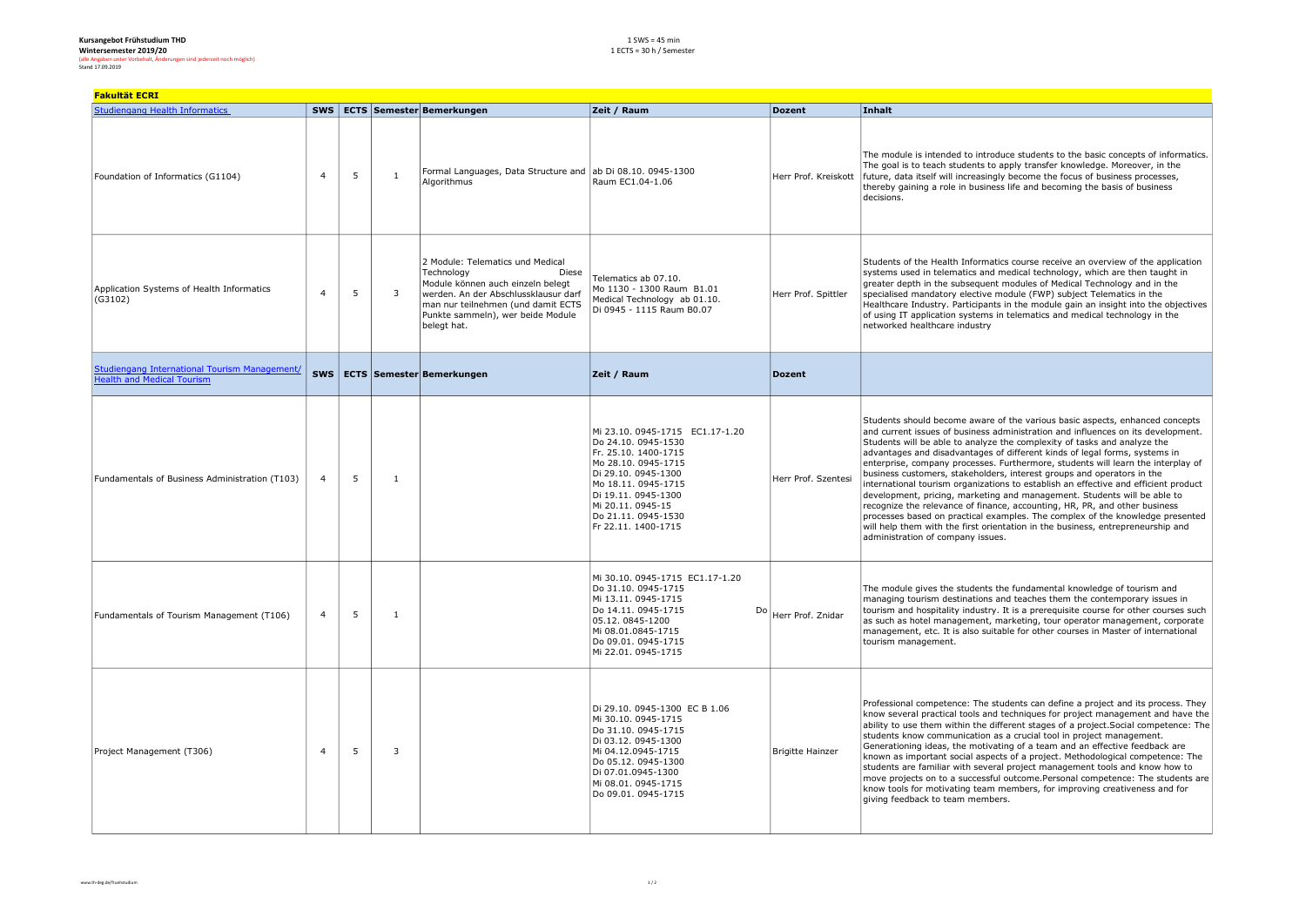| Kursangebot Frühstudium THD                                            |  |  |  |  |  |  |  |  |
|------------------------------------------------------------------------|--|--|--|--|--|--|--|--|
| Wintersemester 2019/20                                                 |  |  |  |  |  |  |  |  |
| (alle Angaben unter Vorbehalt, Änderungen sind jederzeit noch möglich) |  |  |  |  |  |  |  |  |
| Stand 17.09.2019                                                       |  |  |  |  |  |  |  |  |

| (alle Angaben unter Vorbehalt, Änderungen sind jederzeit noch möglich) |  |
|------------------------------------------------------------------------|--|
| Stand 17.09.2019                                                       |  |

| <b>Fakultät ECRI</b>                                                                      |                |    |                |                                                                                                                                                                                                                                |                                                                                                                                                                                                                                               |                         |                                                                                                                                                                                                                                                                                                                                                                                                                                                                                                                                                                                                                                                                                                                                                                                                                                                                                                                                                    |  |
|-------------------------------------------------------------------------------------------|----------------|----|----------------|--------------------------------------------------------------------------------------------------------------------------------------------------------------------------------------------------------------------------------|-----------------------------------------------------------------------------------------------------------------------------------------------------------------------------------------------------------------------------------------------|-------------------------|----------------------------------------------------------------------------------------------------------------------------------------------------------------------------------------------------------------------------------------------------------------------------------------------------------------------------------------------------------------------------------------------------------------------------------------------------------------------------------------------------------------------------------------------------------------------------------------------------------------------------------------------------------------------------------------------------------------------------------------------------------------------------------------------------------------------------------------------------------------------------------------------------------------------------------------------------|--|
| <b>Studiengang Health Informatics</b>                                                     |                |    |                | SWS   ECTS   Semester Bemerkungen                                                                                                                                                                                              | Zeit / Raum                                                                                                                                                                                                                                   | <b>Dozent</b>           | Inhalt                                                                                                                                                                                                                                                                                                                                                                                                                                                                                                                                                                                                                                                                                                                                                                                                                                                                                                                                             |  |
| Foundation of Informatics (G1104)                                                         | $\overline{4}$ | 5  | $\overline{1}$ | Formal Languages, Data Structure and ab Di 08.10. 0945-1300<br>Algorithmus                                                                                                                                                     | Raum EC1.04-1.06                                                                                                                                                                                                                              | Herr Prof. Kreiskott    | The module is intended to introduce students to the basic concepts of informatics.<br>The goal is to teach students to apply transfer knowledge. Moreover, in the<br>future, data itself will increasingly become the focus of business processes,<br>thereby gaining a role in business life and becoming the basis of business<br>decisions.                                                                                                                                                                                                                                                                                                                                                                                                                                                                                                                                                                                                     |  |
| Application Systems of Health Informatics<br>(G3102)                                      | $\overline{4}$ | 5  | $\overline{3}$ | 2 Module: Telematics und Medical<br>Technology<br>Diese<br>Module können auch einzeln belegt<br>werden. An der Abschlussklausur darf<br>man nur teilnehmen (und damit ECTS<br>Punkte sammeln), wer beide Module<br>belegt hat. | Telematics ab 07.10.<br>Mo 1130 - 1300 Raum B1.01<br>Medical Technology ab 01.10.<br>Di 0945 - 1115 Raum B0.07                                                                                                                                | Herr Prof. Spittler     | Students of the Health Informatics course receive an overview of the application<br>systems used in telematics and medical technology, which are then taught in<br>greater depth in the subsequent modules of Medical Technology and in the<br>specialised mandatory elective module (FWP) subject Telematics in the<br>Healthcare Industry. Participants in the module gain an insight into the objectives<br>of using IT application systems in telematics and medical technology in the<br>networked healthcare industry                                                                                                                                                                                                                                                                                                                                                                                                                        |  |
| <b>Studiengang International Tourism Management/</b><br><b>Health and Medical Tourism</b> | <b>SWS</b>     |    |                | <b>ECTS Semester Bemerkungen</b>                                                                                                                                                                                               | Zeit / Raum                                                                                                                                                                                                                                   | <b>Dozent</b>           |                                                                                                                                                                                                                                                                                                                                                                                                                                                                                                                                                                                                                                                                                                                                                                                                                                                                                                                                                    |  |
| Fundamentals of Business Administration (T103)                                            | $\overline{a}$ | -5 | $\overline{1}$ |                                                                                                                                                                                                                                | Mi 23.10. 0945-1715 EC1.17-1.20<br>Do 24.10. 0945-1530<br>Fr. 25.10. 1400-1715<br>Mo 28.10. 0945-1715<br>Di 29.10, 0945-1300<br>Mo 18.11. 0945-1715<br>Di 19.11. 0945-1300<br>Mi 20.11. 0945-15<br>Do 21.11, 0945-1530<br>Fr 22.11. 1400-1715 | Herr Prof. Szentesi     | Students should become aware of the various basic aspects, enhanced concepts<br>and current issues of business administration and influences on its development.<br>Students will be able to analyze the complexity of tasks and analyze the<br>advantages and disadvantages of different kinds of legal forms, systems in<br>enterprise, company processes. Furthermore, students will learn the interplay of<br>business customers, stakeholders, interest groups and operators in the<br>international tourism organizations to establish an effective and efficient product<br>development, pricing, marketing and management. Students will be able to<br>recognize the relevance of finance, accounting, HR, PR, and other business<br>processes based on practical examples. The complex of the knowledge presented<br>will help them with the first orientation in the business, entrepreneurship and<br>administration of company issues. |  |
| Fundamentals of Tourism Management (T106)                                                 | $\overline{4}$ | 5  | $\overline{1}$ |                                                                                                                                                                                                                                | Mi 30.10. 0945-1715 EC1.17-1.20<br>Do 31.10. 0945-1715<br>Mi 13.11. 0945-1715<br>Do 14.11, 0945-1715<br>Do<br>05.12.0845-1200<br>Mi 08.01.0845-1715<br>Do 09.01. 0945-1715<br>Mi 22.01. 0945-1715                                             | Herr Prof. Znidar       | The module gives the students the fundamental knowledge of tourism and<br>managing tourism destinations and teaches them the contemporary issues in<br>tourism and hospitality industry. It is a prerequisite course for other courses such<br>as such as hotel management, marketing, tour operator management, corporate<br>management, etc. It is also suitable for other courses in Master of international<br>tourism management.                                                                                                                                                                                                                                                                                                                                                                                                                                                                                                             |  |
| Project Management (T306)                                                                 | $\overline{4}$ | 5  | $\overline{3}$ |                                                                                                                                                                                                                                | Di 29.10. 0945-1300 EC B 1.06<br>Mi 30.10. 0945-1715<br>Do 31.10. 0945-1715<br>Di 03.12. 0945-1300<br>Mi 04.12.0945-1715<br>Do 05.12, 0945-1300<br>Di 07.01.0945-1300<br>Mi 08.01. 0945-1715<br>Do 09.01. 0945-1715                           | <b>Brigitte Hainzer</b> | Professional competence: The students can define a project and its process. They<br>know several practical tools and techniques for project management and have the<br>ability to use them within the different stages of a project. Social competence: The<br>students know communication as a crucial tool in project management.<br>Generationing ideas, the motivating of a team and an effective feedback are<br>known as important social aspects of a project. Methodological competence: The<br>students are familiar with several project management tools and know how to<br>move projects on to a successful outcome. Personal competence: The students are<br>know tools for motivating team members, for improving creativeness and for<br>giving feedback to team members.                                                                                                                                                           |  |